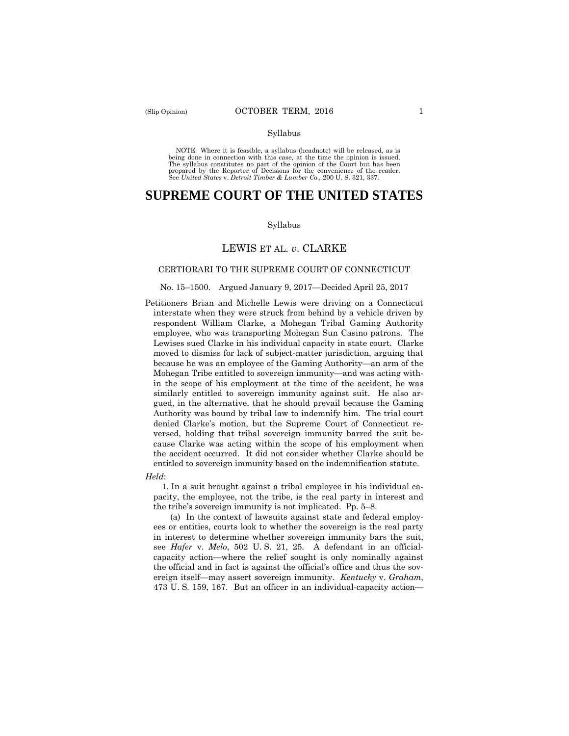#### Syllabus

 NOTE: Where it is feasible, a syllabus (headnote) will be released, as is being done in connection with this case, at the time the opinion is issued. The syllabus constitutes no part of the opinion of the Court but has been<br>prepared by the Reporter of Decisions for the convenience of the reader.<br>See United States v. Detroit Timber & Lumber Co., 200 U.S. 321, 337.

# **SUPREME COURT OF THE UNITED STATES**

#### Syllabus

## LEWIS ET AL. *v*. CLARKE

#### CERTIORARI TO THE SUPREME COURT OF CONNECTICUT

#### No. 15–1500. Argued January 9, 2017—Decided April 25, 2017

- Petitioners Brian and Michelle Lewis were driving on a Connecticut interstate when they were struck from behind by a vehicle driven by respondent William Clarke, a Mohegan Tribal Gaming Authority employee, who was transporting Mohegan Sun Casino patrons. The Lewises sued Clarke in his individual capacity in state court. Clarke moved to dismiss for lack of subject-matter jurisdiction, arguing that because he was an employee of the Gaming Authority—an arm of the Mohegan Tribe entitled to sovereign immunity—and was acting within the scope of his employment at the time of the accident, he was similarly entitled to sovereign immunity against suit. He also argued, in the alternative, that he should prevail because the Gaming Authority was bound by tribal law to indemnify him. The trial court denied Clarke's motion, but the Supreme Court of Connecticut reversed, holding that tribal sovereign immunity barred the suit because Clarke was acting within the scope of his employment when the accident occurred. It did not consider whether Clarke should be entitled to sovereign immunity based on the indemnification statute.
- *Held*:

1. In a suit brought against a tribal employee in his individual capacity, the employee, not the tribe, is the real party in interest and the tribe's sovereign immunity is not implicated. Pp. 5–8.

 ereign itself—may assert sovereign immunity. *Kentucky* v. *Graham*, (a) In the context of lawsuits against state and federal employees or entities, courts look to whether the sovereign is the real party in interest to determine whether sovereign immunity bars the suit, see *Hafer* v. *Melo*, 502 U. S. 21, 25. A defendant in an officialcapacity action—where the relief sought is only nominally against the official and in fact is against the official's office and thus the sov-473 U. S. 159, 167. But an officer in an individual-capacity action—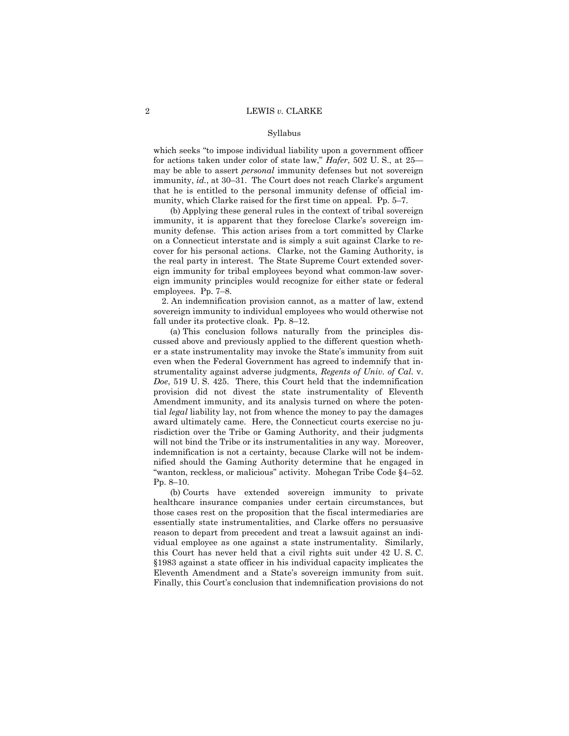#### Syllabus

which seeks "to impose individual liability upon a government officer for actions taken under color of state law," *Hafer*, 502 U. S., at 25 may be able to assert *personal* immunity defenses but not sovereign immunity, *id.*, at 30–31. The Court does not reach Clarke's argument that he is entitled to the personal immunity defense of official immunity, which Clarke raised for the first time on appeal. Pp. 5–7.

(b) Applying these general rules in the context of tribal sovereign immunity, it is apparent that they foreclose Clarke's sovereign immunity defense. This action arises from a tort committed by Clarke on a Connecticut interstate and is simply a suit against Clarke to recover for his personal actions. Clarke, not the Gaming Authority, is the real party in interest. The State Supreme Court extended sovereign immunity for tribal employees beyond what common-law sovereign immunity principles would recognize for either state or federal employees. Pp. 7–8.

2. An indemnification provision cannot, as a matter of law, extend sovereign immunity to individual employees who would otherwise not fall under its protective cloak. Pp. 8–12.

(a) This conclusion follows naturally from the principles discussed above and previously applied to the different question whether a state instrumentality may invoke the State's immunity from suit even when the Federal Government has agreed to indemnify that instrumentality against adverse judgments, *Regents of Univ. of Cal.* v. *Doe*, 519 U. S. 425. There, this Court held that the indemnification provision did not divest the state instrumentality of Eleventh Amendment immunity, and its analysis turned on where the potential *legal* liability lay, not from whence the money to pay the damages award ultimately came. Here, the Connecticut courts exercise no jurisdiction over the Tribe or Gaming Authority, and their judgments will not bind the Tribe or its instrumentalities in any way. Moreover, indemnification is not a certainty, because Clarke will not be indemnified should the Gaming Authority determine that he engaged in "wanton, reckless, or malicious" activity. Mohegan Tribe Code §4–52. Pp. 8–10.

 this Court has never held that a civil rights suit under 42 U. S. C. (b) Courts have extended sovereign immunity to private healthcare insurance companies under certain circumstances, but those cases rest on the proposition that the fiscal intermediaries are essentially state instrumentalities, and Clarke offers no persuasive reason to depart from precedent and treat a lawsuit against an individual employee as one against a state instrumentality. Similarly, §1983 against a state officer in his individual capacity implicates the Eleventh Amendment and a State's sovereign immunity from suit. Finally, this Court's conclusion that indemnification provisions do not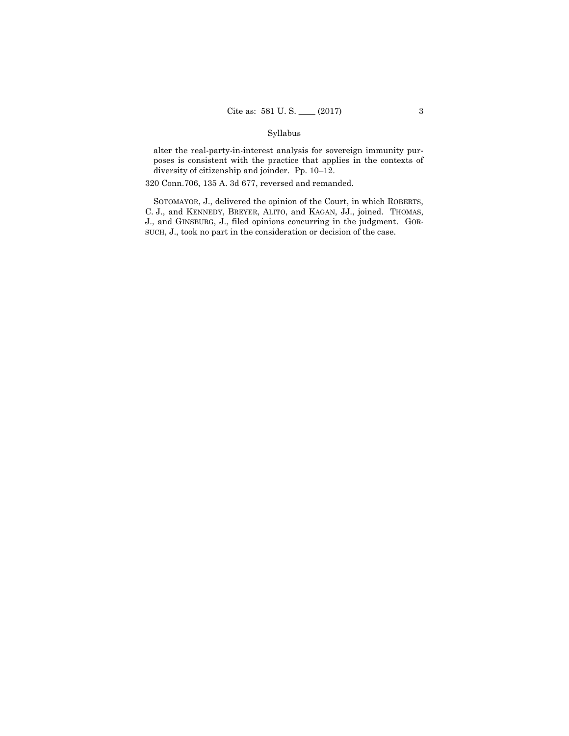## Syllabus

alter the real-party-in-interest analysis for sovereign immunity purposes is consistent with the practice that applies in the contexts of diversity of citizenship and joinder. Pp. 10–12.

320 Conn.706, 135 A. 3d 677, reversed and remanded.

SOTOMAYOR, J., delivered the opinion of the Court, in which ROBERTS, C. J., and KENNEDY, BREYER, ALITO, and KAGAN, JJ., joined. THOMAS, J., and GINSBURG, J., filed opinions concurring in the judgment. GOR-SUCH, J., took no part in the consideration or decision of the case.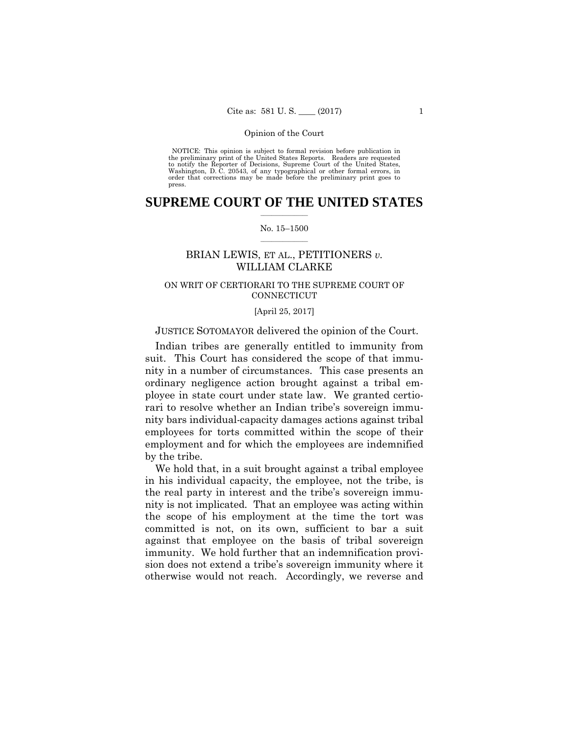NOTICE: This opinion is subject to formal revision before publication in<br>the preliminary print of the United States Reports. Readers are requested<br>to notify the Reporter of Decisions, Supreme Court of the United States, Washington, D. C. 20543, of any typographical or other formal errors, in order that corrections may be made before the preliminary print goes to NOTICE: This opinion is subject to formal revision before publication in press.

## $\frac{1}{2}$  ,  $\frac{1}{2}$  ,  $\frac{1}{2}$  ,  $\frac{1}{2}$  ,  $\frac{1}{2}$  ,  $\frac{1}{2}$ **SUPREME COURT OF THE UNITED STATES**

#### $\frac{1}{2}$  ,  $\frac{1}{2}$  ,  $\frac{1}{2}$  ,  $\frac{1}{2}$  ,  $\frac{1}{2}$  ,  $\frac{1}{2}$  ,  $\frac{1}{2}$ No. 15–1500

## BRIAN LEWIS, ET AL., PETITIONERS *v.* WILLIAM CLARKE

## ON WRIT OF CERTIORARI TO THE SUPREME COURT OF **CONNECTICUT**

## [April 25, 2017]

## JUSTICE SOTOMAYOR delivered the opinion of the Court.

Indian tribes are generally entitled to immunity from suit. This Court has considered the scope of that immunity in a number of circumstances. This case presents an ordinary negligence action brought against a tribal employee in state court under state law. We granted certiorari to resolve whether an Indian tribe's sovereign immunity bars individual-capacity damages actions against tribal employees for torts committed within the scope of their employment and for which the employees are indemnified by the tribe.

 nity is not implicated. That an employee was acting within We hold that, in a suit brought against a tribal employee in his individual capacity, the employee, not the tribe, is the real party in interest and the tribe's sovereign immuthe scope of his employment at the time the tort was committed is not, on its own, sufficient to bar a suit against that employee on the basis of tribal sovereign immunity. We hold further that an indemnification provision does not extend a tribe's sovereign immunity where it otherwise would not reach. Accordingly, we reverse and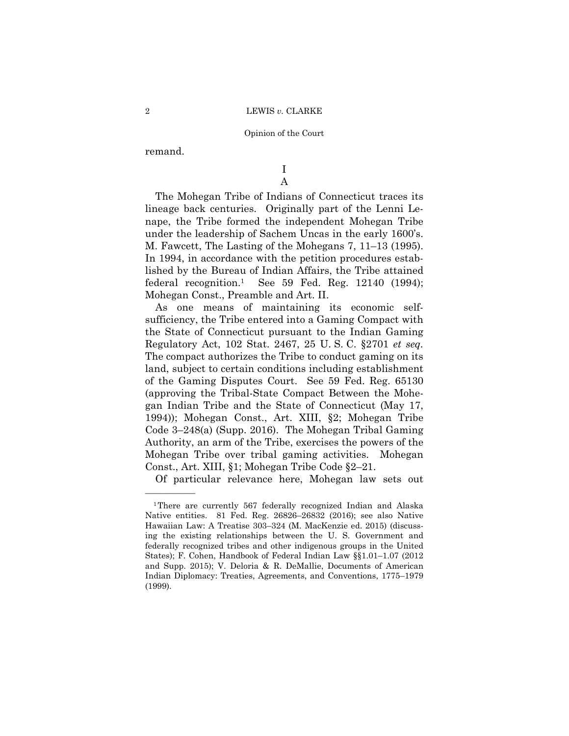remand.

——————

I A

The Mohegan Tribe of Indians of Connecticut traces its lineage back centuries. Originally part of the Lenni Lenape, the Tribe formed the independent Mohegan Tribe under the leadership of Sachem Uncas in the early 1600's. M. Fawcett, The Lasting of the Mohegans 7, 11–13 (1995). In 1994, in accordance with the petition procedures established by the Bureau of Indian Affairs, the Tribe attained federal recognition.<sup>1</sup> See 59 Fed. Reg.  $12140$  (1994); Mohegan Const., Preamble and Art. II.

As one means of maintaining its economic selfsufficiency, the Tribe entered into a Gaming Compact with the State of Connecticut pursuant to the Indian Gaming Regulatory Act, 102 Stat. 2467, 25 U. S. C. §2701 *et seq.* The compact authorizes the Tribe to conduct gaming on its land, subject to certain conditions including establishment of the Gaming Disputes Court. See 59 Fed. Reg. 65130 (approving the Tribal-State Compact Between the Mohegan Indian Tribe and the State of Connecticut (May 17, 1994)); Mohegan Const., Art. XIII, §2; Mohegan Tribe Code 3–248(a) (Supp. 2016). The Mohegan Tribal Gaming Authority, an arm of the Tribe, exercises the powers of the Mohegan Tribe over tribal gaming activities. Mohegan Const., Art. XIII, §1; Mohegan Tribe Code §2–21.

Of particular relevance here, Mohegan law sets out

<sup>&</sup>lt;sup>1</sup>There are currently 567 federally recognized Indian and Alaska Native entities. 81 Fed. Reg. 26826–26832 (2016); see also Native Hawaiian Law: A Treatise 303–324 (M. MacKenzie ed. 2015) (discussing the existing relationships between the U. S. Government and federally recognized tribes and other indigenous groups in the United States); F. Cohen, Handbook of Federal Indian Law §§1.01–1.07 (2012 and Supp. 2015); V. Deloria & R. DeMallie, Documents of American Indian Diplomacy: Treaties, Agreements, and Conventions, 1775–1979 (1999).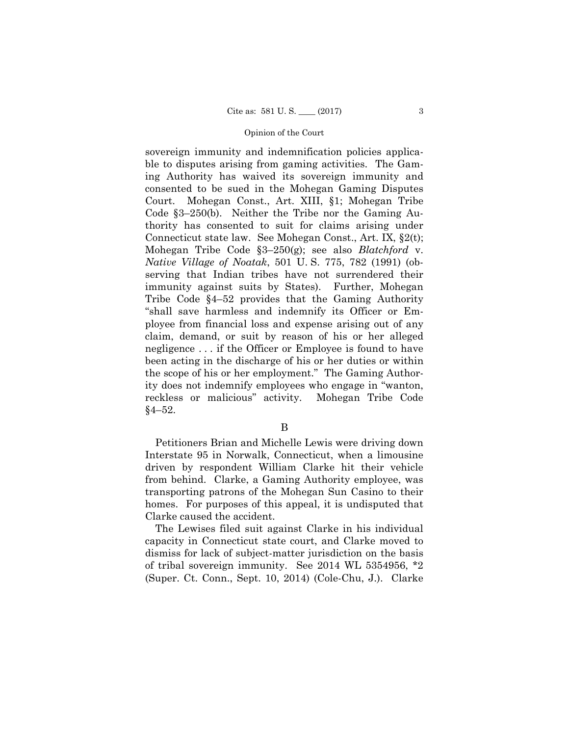sovereign immunity and indemnification policies applicable to disputes arising from gaming activities. The Gaming Authority has waived its sovereign immunity and consented to be sued in the Mohegan Gaming Disputes Court. Mohegan Const., Art. XIII, §1; Mohegan Tribe Code §3–250(b). Neither the Tribe nor the Gaming Authority has consented to suit for claims arising under Connecticut state law. See Mohegan Const., Art. IX, §2(t); Mohegan Tribe Code §3–250(g); see also *Blatchford* v. *Native Village of Noatak*, 501 U. S. 775, 782 (1991) (observing that Indian tribes have not surrendered their immunity against suits by States). Further, Mohegan Tribe Code §4–52 provides that the Gaming Authority "shall save harmless and indemnify its Officer or Employee from financial loss and expense arising out of any claim, demand, or suit by reason of his or her alleged negligence . . . if the Officer or Employee is found to have been acting in the discharge of his or her duties or within the scope of his or her employment." The Gaming Authority does not indemnify employees who engage in "wanton, reckless or malicious" activity. Mohegan Tribe Code §4–52.

B

Petitioners Brian and Michelle Lewis were driving down Interstate 95 in Norwalk, Connecticut, when a limousine driven by respondent William Clarke hit their vehicle from behind. Clarke, a Gaming Authority employee, was transporting patrons of the Mohegan Sun Casino to their homes. For purposes of this appeal, it is undisputed that Clarke caused the accident.

The Lewises filed suit against Clarke in his individual capacity in Connecticut state court, and Clarke moved to dismiss for lack of subject-matter jurisdiction on the basis of tribal sovereign immunity. See 2014 WL 5354956, \*2 (Super. Ct. Conn., Sept. 10, 2014) (Cole-Chu, J.). Clarke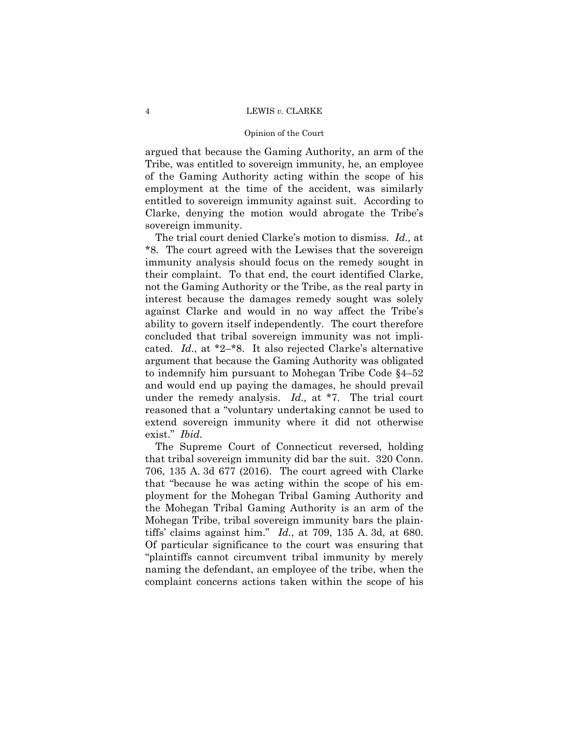#### Opinion of the Court

argued that because the Gaming Authority, an arm of the Tribe, was entitled to sovereign immunity, he, an employee of the Gaming Authority acting within the scope of his employment at the time of the accident, was similarly entitled to sovereign immunity against suit. According to Clarke, denying the motion would abrogate the Tribe's sovereign immunity.

The trial court denied Clarke's motion to dismiss. *Id.,* at \*8. The court agreed with the Lewises that the sovereign immunity analysis should focus on the remedy sought in their complaint. To that end, the court identified Clarke, not the Gaming Authority or the Tribe, as the real party in interest because the damages remedy sought was solely against Clarke and would in no way affect the Tribe's ability to govern itself independently. The court therefore concluded that tribal sovereign immunity was not implicated. *Id*., at \*2–\*8. It also rejected Clarke's alternative argument that because the Gaming Authority was obligated to indemnify him pursuant to Mohegan Tribe Code §4–52 and would end up paying the damages, he should prevail under the remedy analysis. *Id.,* at \*7. The trial court reasoned that a "voluntary undertaking cannot be used to extend sovereign immunity where it did not otherwise exist." *Ibid.* 

The Supreme Court of Connecticut reversed, holding that tribal sovereign immunity did bar the suit. 320 Conn. 706, 135 A. 3d 677 (2016). The court agreed with Clarke that "because he was acting within the scope of his employment for the Mohegan Tribal Gaming Authority and the Mohegan Tribal Gaming Authority is an arm of the Mohegan Tribe, tribal sovereign immunity bars the plaintiffs' claims against him." *Id.*, at 709, 135 A. 3d, at 680. Of particular significance to the court was ensuring that "plaintiffs cannot circumvent tribal immunity by merely naming the defendant, an employee of the tribe, when the complaint concerns actions taken within the scope of his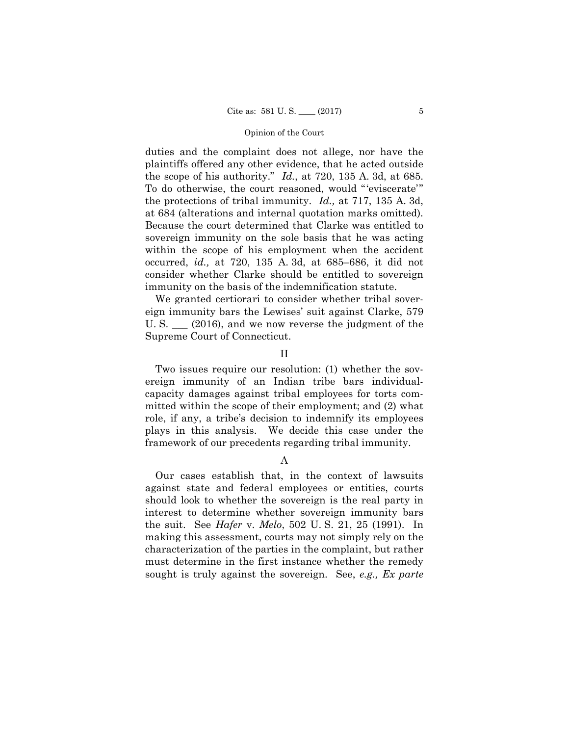duties and the complaint does not allege, nor have the plaintiffs offered any other evidence, that he acted outside the scope of his authority." *Id.*, at 720, 135 A. 3d, at 685. To do otherwise, the court reasoned, would "'eviscerate'" the protections of tribal immunity. *Id.,* at 717, 135 A. 3d, at 684 (alterations and internal quotation marks omitted). Because the court determined that Clarke was entitled to sovereign immunity on the sole basis that he was acting within the scope of his employment when the accident occurred, *id.,* at 720, 135 A. 3d, at 685–686, it did not consider whether Clarke should be entitled to sovereign immunity on the basis of the indemnification statute.

We granted certiorari to consider whether tribal sovereign immunity bars the Lewises' suit against Clarke, 579 U. S. \_\_\_ (2016), and we now reverse the judgment of the Supreme Court of Connecticut.

II

Two issues require our resolution: (1) whether the sovereign immunity of an Indian tribe bars individualcapacity damages against tribal employees for torts committed within the scope of their employment; and (2) what role, if any, a tribe's decision to indemnify its employees plays in this analysis. We decide this case under the framework of our precedents regarding tribal immunity.

A

Our cases establish that, in the context of lawsuits against state and federal employees or entities, courts should look to whether the sovereign is the real party in interest to determine whether sovereign immunity bars the suit. See *Hafer* v. *Melo*, 502 U. S. 21, 25 (1991). In making this assessment, courts may not simply rely on the characterization of the parties in the complaint, but rather must determine in the first instance whether the remedy sought is truly against the sovereign. See, *e.g., Ex parte*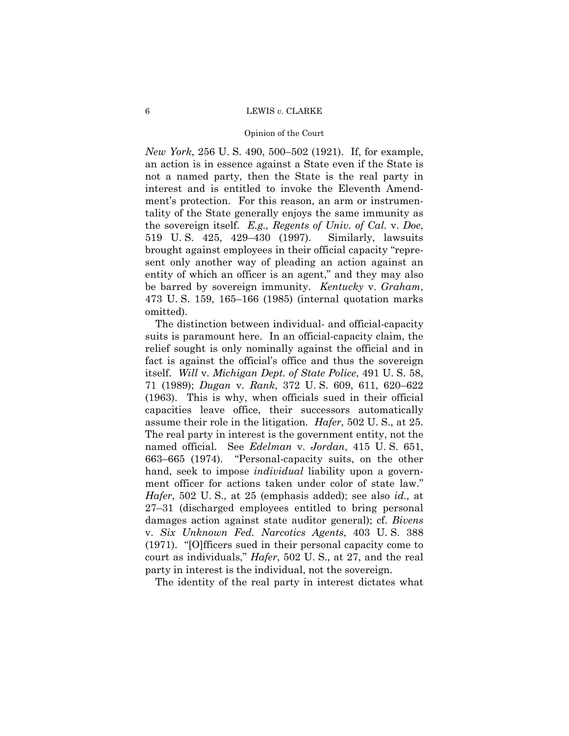#### Opinion of the Court

*New York*, 256 U. S. 490, 500–502 (1921). If, for example, an action is in essence against a State even if the State is not a named party, then the State is the real party in interest and is entitled to invoke the Eleventh Amendment's protection. For this reason, an arm or instrumentality of the State generally enjoys the same immunity as the sovereign itself. *E.g., Regents of Univ. of Cal.* v. *Doe*, 519 U. S. 425, 429–430 (1997). Similarly, lawsuits brought against employees in their official capacity "represent only another way of pleading an action against an entity of which an officer is an agent," and they may also be barred by sovereign immunity. *Kentucky* v. *Graham*, 473 U. S. 159, 165–166 (1985) (internal quotation marks omitted).

The distinction between individual- and official-capacity suits is paramount here. In an official-capacity claim, the relief sought is only nominally against the official and in fact is against the official's office and thus the sovereign itself. *Will* v. *Michigan Dept. of State Police*, 491 U. S. 58, 71 (1989); *Dugan* v. *Rank*, 372 U. S. 609, 611, 620–622 (1963). This is why, when officials sued in their official capacities leave office, their successors automatically assume their role in the litigation. *Hafer*, 502 U. S., at 25. The real party in interest is the government entity, not the named official. See *Edelman* v. *Jordan*, 415 U. S. 651, 663–665 (1974). "Personal-capacity suits, on the other hand, seek to impose *individual* liability upon a government officer for actions taken under color of state law." *Hafer*, 502 U. S., at 25 (emphasis added); see also *id.,* at 27–31 (discharged employees entitled to bring personal damages action against state auditor general); cf. *Bivens*  v. *Six Unknown Fed. Narcotics Agents*, 403 U. S. 388 (1971). "[O]fficers sued in their personal capacity come to court as individuals," *Hafer*, 502 U. S., at 27, and the real party in interest is the individual, not the sovereign.

The identity of the real party in interest dictates what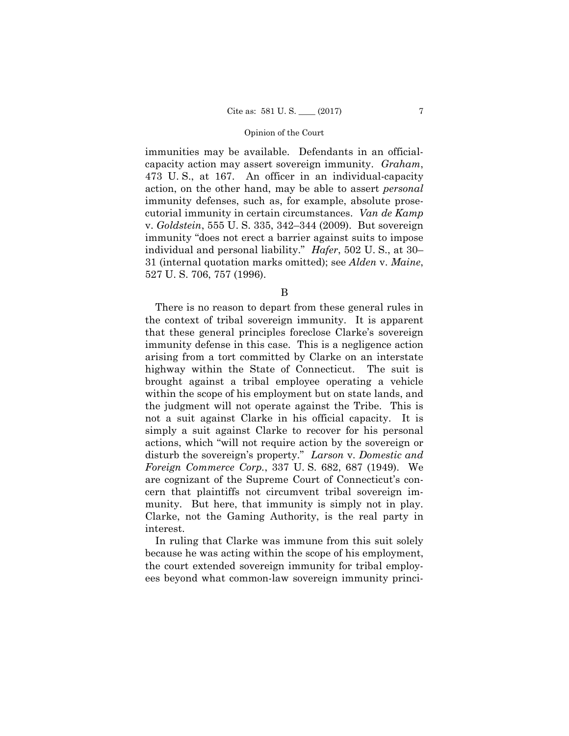immunities may be available. Defendants in an officialcapacity action may assert sovereign immunity. *Graham*, 473 U. S., at 167. An officer in an individual-capacity action, on the other hand, may be able to assert *personal* immunity defenses, such as, for example, absolute prosecutorial immunity in certain circumstances. *Van de Kamp*  v. *Goldstein*, 555 U. S. 335, 342–344 (2009). But sovereign immunity "does not erect a barrier against suits to impose individual and personal liability." *Hafer*, 502 U. S., at 30– 31 (internal quotation marks omitted); see *Alden* v. *Maine*, 527 U. S. 706, 757 (1996).

B

 disturb the sovereign's property." *Larson* v. *Domestic and*  There is no reason to depart from these general rules in the context of tribal sovereign immunity. It is apparent that these general principles foreclose Clarke's sovereign immunity defense in this case. This is a negligence action arising from a tort committed by Clarke on an interstate highway within the State of Connecticut. The suit is brought against a tribal employee operating a vehicle within the scope of his employment but on state lands, and the judgment will not operate against the Tribe. This is not a suit against Clarke in his official capacity. It is simply a suit against Clarke to recover for his personal actions, which "will not require action by the sovereign or *Foreign Commerce Corp.*, 337 U. S. 682, 687 (1949). We are cognizant of the Supreme Court of Connecticut's concern that plaintiffs not circumvent tribal sovereign immunity. But here, that immunity is simply not in play. Clarke, not the Gaming Authority, is the real party in interest.

In ruling that Clarke was immune from this suit solely because he was acting within the scope of his employment, the court extended sovereign immunity for tribal employees beyond what common-law sovereign immunity princi-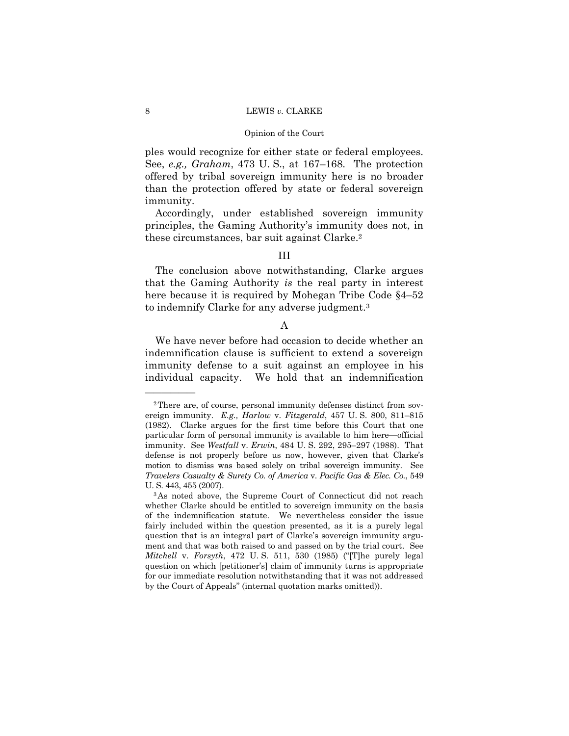ples would recognize for either state or federal employees. See, *e.g., Graham*, 473 U. S., at 167–168. The protection offered by tribal sovereign immunity here is no broader than the protection offered by state or federal sovereign immunity.

Accordingly, under established sovereign immunity principles, the Gaming Authority's immunity does not, in these circumstances, bar suit against Clarke.2

## III

The conclusion above notwithstanding, Clarke argues that the Gaming Authority *is* the real party in interest here because it is required by Mohegan Tribe Code §4–52 to indemnify Clarke for any adverse judgment.3

## A

We have never before had occasion to decide whether an indemnification clause is sufficient to extend a sovereign immunity defense to a suit against an employee in his individual capacity. We hold that an indemnification

——————

 *Travelers Casualty & Surety Co. of America* v. *Pacific Gas & Elec. Co.*, 549 2There are, of course, personal immunity defenses distinct from sovereign immunity. *E.g., Harlow* v. *Fitzgerald*, 457 U. S. 800, 811–815 (1982). Clarke argues for the first time before this Court that one particular form of personal immunity is available to him here—official immunity. See *Westfall* v. *Erwin*, 484 U. S. 292, 295–297 (1988). That defense is not properly before us now, however, given that Clarke's motion to dismiss was based solely on tribal sovereign immunity. See U. S. 443, 455 (2007).

<sup>3</sup>As noted above, the Supreme Court of Connecticut did not reach whether Clarke should be entitled to sovereign immunity on the basis of the indemnification statute. We nevertheless consider the issue fairly included within the question presented, as it is a purely legal question that is an integral part of Clarke's sovereign immunity argument and that was both raised to and passed on by the trial court. See *Mitchell* v. *Forsyth*, 472 U. S. 511, 530 (1985) ("[T]he purely legal question on which [petitioner's] claim of immunity turns is appropriate for our immediate resolution notwithstanding that it was not addressed by the Court of Appeals" (internal quotation marks omitted)).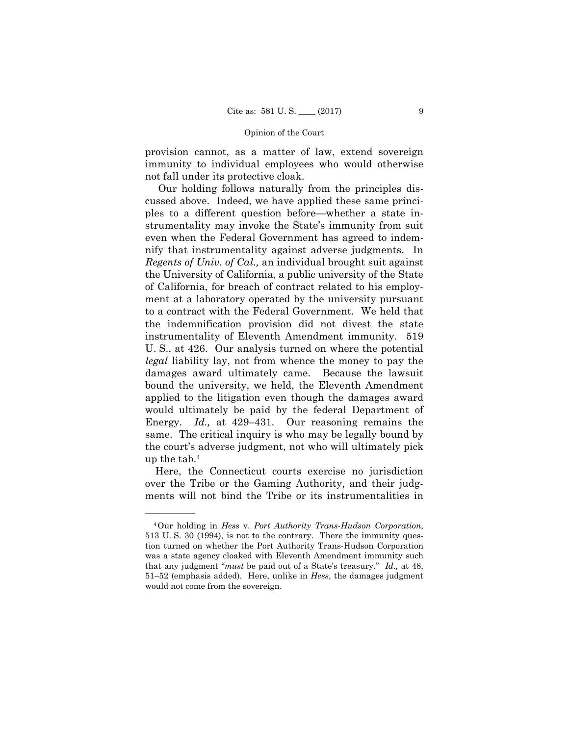provision cannot, as a matter of law, extend sovereign immunity to individual employees who would otherwise not fall under its protective cloak.

 *Regents of Univ. of Cal.,* an individual brought suit against the University of California, a public university of the State Our holding follows naturally from the principles discussed above. Indeed, we have applied these same principles to a different question before—whether a state instrumentality may invoke the State's immunity from suit even when the Federal Government has agreed to indemnify that instrumentality against adverse judgments. In of California, for breach of contract related to his employment at a laboratory operated by the university pursuant to a contract with the Federal Government. We held that the indemnification provision did not divest the state instrumentality of Eleventh Amendment immunity. 519 U. S., at 426. Our analysis turned on where the potential *legal* liability lay, not from whence the money to pay the damages award ultimately came. Because the lawsuit bound the university, we held, the Eleventh Amendment applied to the litigation even though the damages award would ultimately be paid by the federal Department of Energy. *Id.,* at 429–431. Our reasoning remains the same. The critical inquiry is who may be legally bound by the court's adverse judgment, not who will ultimately pick up the tab.4

Here, the Connecticut courts exercise no jurisdiction over the Tribe or the Gaming Authority, and their judgments will not bind the Tribe or its instrumentalities in

——————

<sup>4</sup>Our holding in *Hess* v. *Port Authority Trans-Hudson Corporation*, 513 U. S. 30 (1994), is not to the contrary. There the immunity question turned on whether the Port Authority Trans-Hudson Corporation was a state agency cloaked with Eleventh Amendment immunity such that any judgment "*must* be paid out of a State's treasury." *Id.,* at 48, 51–52 (emphasis added). Here, unlike in *Hess*, the damages judgment would not come from the sovereign.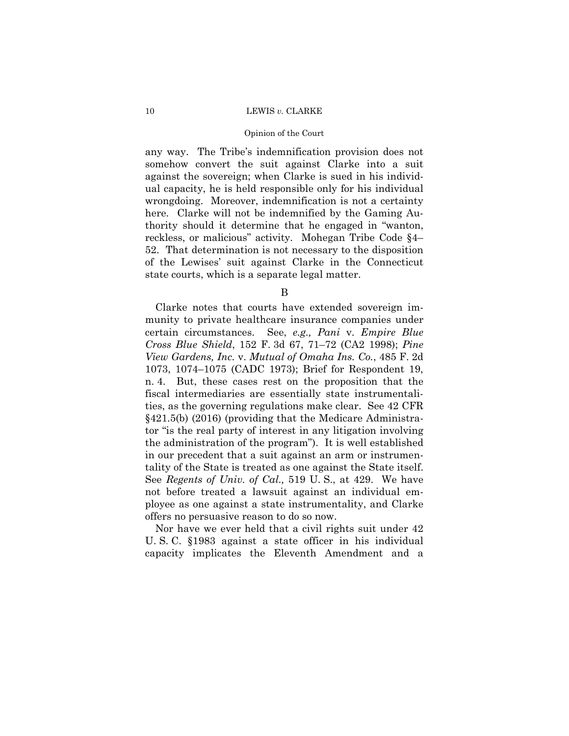#### Opinion of the Court

 thority should it determine that he engaged in "wanton, any way. The Tribe's indemnification provision does not somehow convert the suit against Clarke into a suit against the sovereign; when Clarke is sued in his individual capacity, he is held responsible only for his individual wrongdoing. Moreover, indemnification is not a certainty here. Clarke will not be indemnified by the Gaming Aureckless, or malicious" activity. Mohegan Tribe Code §4– 52. That determination is not necessary to the disposition of the Lewises' suit against Clarke in the Connecticut state courts, which is a separate legal matter.

B

Clarke notes that courts have extended sovereign immunity to private healthcare insurance companies under certain circumstances. See, *e.g., Pani* v. *Empire Blue Cross Blue Shield*, 152 F. 3d 67, 71–72 (CA2 1998); *Pine View Gardens, Inc.* v. *Mutual of Omaha Ins. Co.*, 485 F. 2d 1073, 1074–1075 (CADC 1973); Brief for Respondent 19, n. 4. But, these cases rest on the proposition that the fiscal intermediaries are essentially state instrumentalities, as the governing regulations make clear. See 42 CFR §421.5(b) (2016) (providing that the Medicare Administrator "is the real party of interest in any litigation involving the administration of the program"). It is well established in our precedent that a suit against an arm or instrumentality of the State is treated as one against the State itself. See *Regents of Univ. of Cal.,* 519 U. S., at 429. We have not before treated a lawsuit against an individual employee as one against a state instrumentality, and Clarke offers no persuasive reason to do so now.

Nor have we ever held that a civil rights suit under 42 U. S. C. §1983 against a state officer in his individual capacity implicates the Eleventh Amendment and a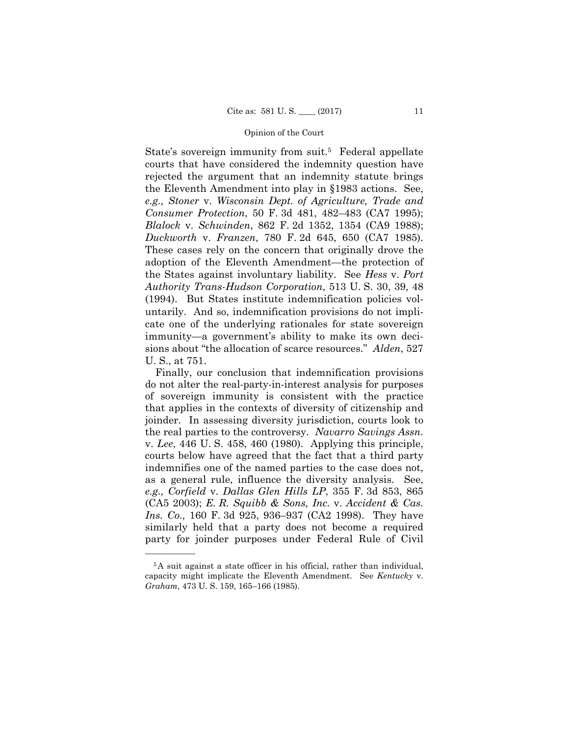State's sovereign immunity from suit.<sup>5</sup> Federal appellate courts that have considered the indemnity question have rejected the argument that an indemnity statute brings the Eleventh Amendment into play in §1983 actions. See, *e.g., Stoner* v. *Wisconsin Dept. of Agriculture, Trade and Consumer Protection*, 50 F. 3d 481, 482–483 (CA7 1995); *Blalock* v. *Schwinden*, 862 F. 2d 1352, 1354 (CA9 1988); *Duckworth* v. *Franzen*, 780 F. 2d 645, 650 (CA7 1985). These cases rely on the concern that originally drove the adoption of the Eleventh Amendment—the protection of the States against involuntary liability. See *Hess* v. *Port Authority Trans-Hudson Corporation*, 513 U. S. 30, 39, 48 (1994). But States institute indemnification policies voluntarily. And so, indemnification provisions do not implicate one of the underlying rationales for state sovereign immunity—a government's ability to make its own decisions about "the allocation of scarce resources." *Alden*, 527 U. S., at 751.

Finally, our conclusion that indemnification provisions do not alter the real-party-in-interest analysis for purposes of sovereign immunity is consistent with the practice that applies in the contexts of diversity of citizenship and joinder. In assessing diversity jurisdiction, courts look to the real parties to the controversy. *Navarro Savings Assn.*  v. *Lee*, 446 U. S. 458, 460 (1980). Applying this principle, courts below have agreed that the fact that a third party indemnifies one of the named parties to the case does not, as a general rule, influence the diversity analysis. See, *e.g., Corfield* v. *Dallas Glen Hills LP*, 355 F. 3d 853, 865 (CA5 2003); *E. R. Squibb & Sons, Inc.* v. *Accident & Cas. Ins. Co.,* 160 F. 3d 925, 936–937 (CA2 1998). They have similarly held that a party does not become a required party for joinder purposes under Federal Rule of Civil

——————

<sup>5</sup>A suit against a state officer in his official, rather than individual, capacity might implicate the Eleventh Amendment. See *Kentucky* v. *Graham*, 473 U. S. 159, 165–166 (1985).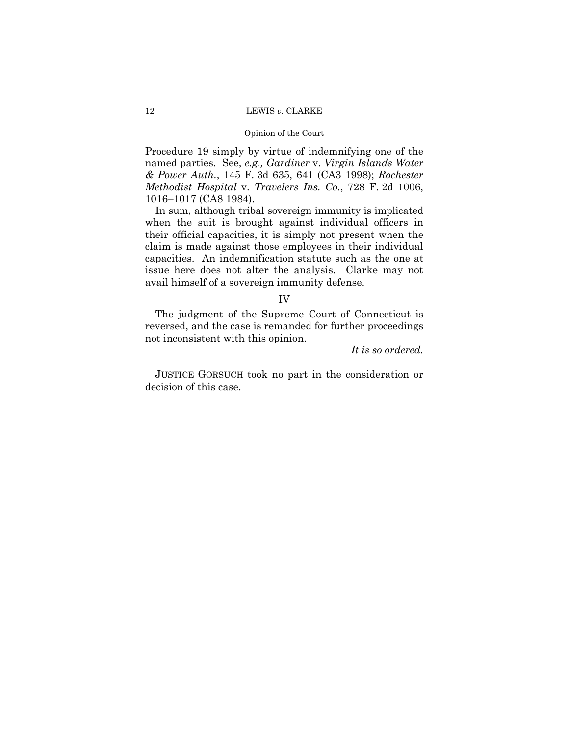## Opinion of the Court

Procedure 19 simply by virtue of indemnifying one of the named parties. See, *e.g., Gardiner* v. *Virgin Islands Water & Power Auth.*, 145 F. 3d 635, 641 (CA3 1998); *Rochester Methodist Hospital* v. *Travelers Ins. Co.*, 728 F. 2d 1006, 1016–1017 (CA8 1984).

In sum, although tribal sovereign immunity is implicated when the suit is brought against individual officers in their official capacities, it is simply not present when the claim is made against those employees in their individual capacities. An indemnification statute such as the one at issue here does not alter the analysis. Clarke may not avail himself of a sovereign immunity defense.

#### IV

The judgment of the Supreme Court of Connecticut is reversed, and the case is remanded for further proceedings not inconsistent with this opinion.

*It is so ordered.*

 JUSTICE GORSUCH took no part in the consideration or decision of this case.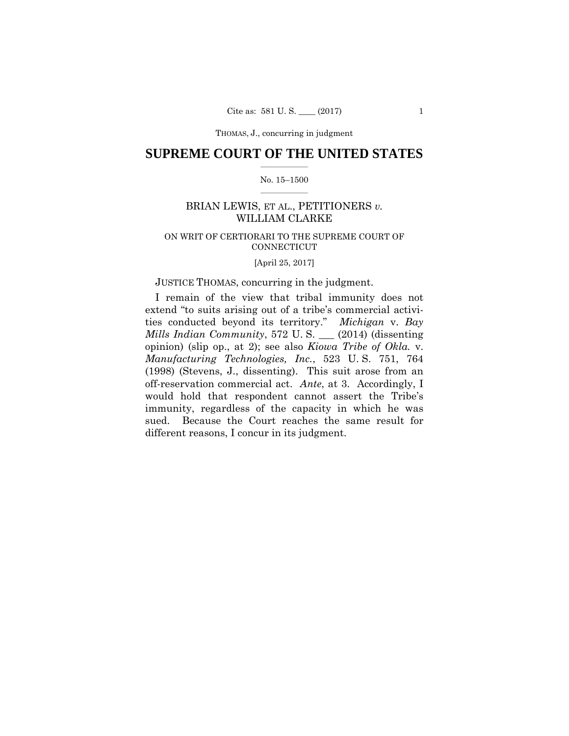THOMAS, J., concurring in judgment

## $\frac{1}{2}$  ,  $\frac{1}{2}$  ,  $\frac{1}{2}$  ,  $\frac{1}{2}$  ,  $\frac{1}{2}$  ,  $\frac{1}{2}$  ,  $\frac{1}{2}$ **SUPREME COURT OF THE UNITED STATES**

## $\frac{1}{2}$  ,  $\frac{1}{2}$  ,  $\frac{1}{2}$  ,  $\frac{1}{2}$  ,  $\frac{1}{2}$  ,  $\frac{1}{2}$ No. 15–1500

## BRIAN LEWIS, ET AL., PETITIONERS *v.* WILLIAM CLARKE

## ON WRIT OF CERTIORARI TO THE SUPREME COURT OF CONNECTICUT

[April 25, 2017]

## JUSTICE THOMAS, concurring in the judgment.

I remain of the view that tribal immunity does not extend "to suits arising out of a tribe's commercial activities conducted beyond its territory." *Michigan* v. *Bay Mills Indian Community*, 572 U. S. \_\_\_ (2014) (dissenting opinion) (slip op., at 2); see also *Kiowa Tribe of Okla.* v. *Manufacturing Technologies, Inc.*, 523 U. S. 751, 764 (1998) (Stevens, J., dissenting). This suit arose from an off-reservation commercial act. *Ante*, at 3. Accordingly, I would hold that respondent cannot assert the Tribe's immunity, regardless of the capacity in which he was sued. Because the Court reaches the same result for different reasons, I concur in its judgment.